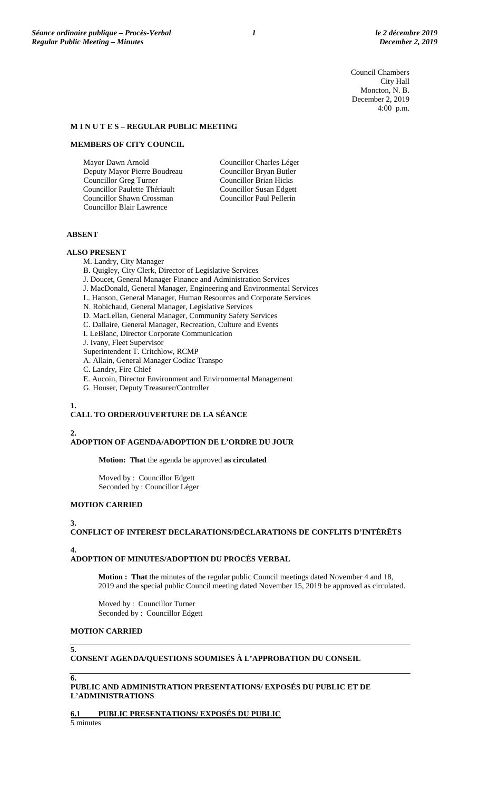Council Chambers City Hall Moncton, N. B. December 2, 2019 4:00 p.m.

# **M I N U T E S – REGULAR PUBLIC MEETING**

## **MEMBERS OF CITY COUNCIL**

Mayor Dawn Arnold Deputy Mayor Pierre Boudreau Councillor Greg Turner Councillor Paulette Thériault Councillor Shawn Crossman Councillor Blair Lawrence

Councillor Charles Léger Councillor Bryan Butler Councillor Brian Hicks Councillor Susan Edgett Councillor Paul Pellerin

# **ABSENT**

#### **ALSO PRESENT**

M. Landry, City Manager

- B. Quigley, City Clerk, Director of Legislative Services
- J. Doucet, General Manager Finance and Administration Services
- J. MacDonald, General Manager, Engineering and Environmental Services
- L. Hanson, General Manager, Human Resources and Corporate Services
- N. Robichaud, General Manager, Legislative Services
- D. MacLellan, General Manager, Community Safety Services
- C. Dallaire, General Manager, Recreation, Culture and Events
- I. LeBlanc, Director Corporate Communication
- J. Ivany, Fleet Supervisor
- Superintendent T. Critchlow, RCMP
- A. Allain, General Manager Codiac Transpo
- C. Landry, Fire Chief
- E. Aucoin, Director Environment and Environmental Management
- G. Houser, Deputy Treasurer/Controller

#### **1. CALL TO ORDER/OUVERTURE DE LA SÉANCE**

## **2.**

# **ADOPTION OF AGENDA/ADOPTION DE L'ORDRE DU JOUR**

**Motion: That** the agenda be approved **as circulated**

Moved by : Councillor Edgett Seconded by : Councillor Léger

#### **MOTION CARRIED**

#### **3.**

# **CONFLICT OF INTEREST DECLARATIONS/DÉCLARATIONS DE CONFLITS D'INTÉRÊTS**

#### **4.**

#### **ADOPTION OF MINUTES/ADOPTION DU PROCÈS VERBAL**

**Motion : That** the minutes of the regular public Council meetings dated November 4 and 18, 2019 and the special public Council meeting dated November 15, 2019 be approved as circulated.

Moved by : Councillor Turner Seconded by : Councillor Edgett

# **MOTION CARRIED**

## **CONSENT AGENDA/QUESTIONS SOUMISES À L'APPROBATION DU CONSEIL**

## **6.**

**5.**

## **PUBLIC AND ADMINISTRATION PRESENTATIONS/ EXPOSÉS DU PUBLIC ET DE L'ADMINISTRATIONS**

#### **6.1 PUBLIC PRESENTATIONS/ EXPOSÉS DU PUBLIC**

5 minutes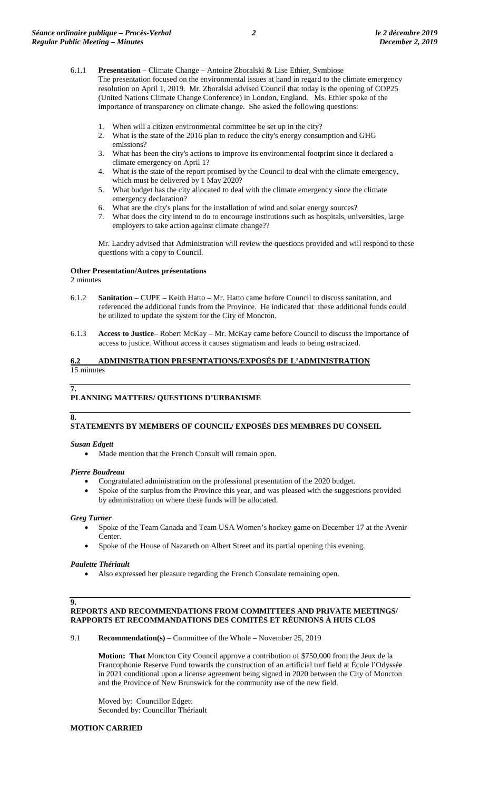- 6.1.1 **Presentation** Climate Change Antoine Zboralski & Lise Ethier, Symbiose The presentation focused on the environmental issues at hand in regard to the climate emergency resolution on April 1, 2019. Mr. Zboralski advised Council that today is the opening of COP25 (United Nations Climate Change Conference) in London, England. Ms. Ethier spoke of the importance of transparency on climate change. She asked the following questions:
	- 1. When will a citizen environmental committee be set up in the city?
	- 2. What is the state of the 2016 plan to reduce the city's energy consumption and GHG emissions?
	- 3. What has been the city's actions to improve its environmental footprint since it declared a climate emergency on April 1?
	- 4. What is the state of the report promised by the Council to deal with the climate emergency, which must be delivered by 1 May 2020?
	- 5. What budget has the city allocated to deal with the climate emergency since the climate emergency declaration?
	- 6. What are the city's plans for the installation of wind and solar energy sources?
	- 7. What does the city intend to do to encourage institutions such as hospitals, universities, large employers to take action against climate change??

Mr. Landry advised that Administration will review the questions provided and will respond to these questions with a copy to Council.

## **Other Presentation/Autres présentations**

2 minutes

- 6.1.2 **Sanitation** CUPE Keith Hatto Mr. Hatto came before Council to discuss sanitation, and referenced the additional funds from the Province. He indicated that these additional funds could be utilized to update the system for the City of Moncton.
- 6.1.3 **Access to Justice** Robert McKay Mr. McKay came before Council to discuss the importance of access to justice. Without access it causes stigmatism and leads to being ostracized.

## **6.2 ADMINISTRATION PRESENTATIONS/EXPOSÉS DE L'ADMINISTRATION**  15 minutes

## **7.**

# **PLANNING MATTERS/ QUESTIONS D'URBANISME**

## **8.**

## **STATEMENTS BY MEMBERS OF COUNCIL/ EXPOSÉS DES MEMBRES DU CONSEIL**

## *Susan Edgett*

• Made mention that the French Consult will remain open.

## *Pierre Boudreau*

- Congratulated administration on the professional presentation of the 2020 budget.
- Spoke of the surplus from the Province this year, and was pleased with the suggestions provided by administration on where these funds will be allocated.

## *Greg Turner*

- Spoke of the Team Canada and Team USA Women's hockey game on December 17 at the Avenir Center.
- Spoke of the House of Nazareth on Albert Street and its partial opening this evening.

#### *Paulette Thériault*

• Also expressed her pleasure regarding the French Consulate remaining open.

## **9. REPORTS AND RECOMMENDATIONS FROM COMMITTEES AND PRIVATE MEETINGS/ RAPPORTS ET RECOMMANDATIONS DES COMITÉS ET RÉUNIONS À HUIS CLOS**

9.1 **Recommendation(s)** – Committee of the Whole – November 25, 2019

**Motion: That** Moncton City Council approve a contribution of \$750,000 from the Jeux de la Francophonie Reserve Fund towards the construction of an artificial turf field at École l'Odyssée in 2021 conditional upon a license agreement being signed in 2020 between the City of Moncton and the Province of New Brunswick for the community use of the new field.

Moved by: Councillor Edgett Seconded by: Councillor Thériault

## **MOTION CARRIED**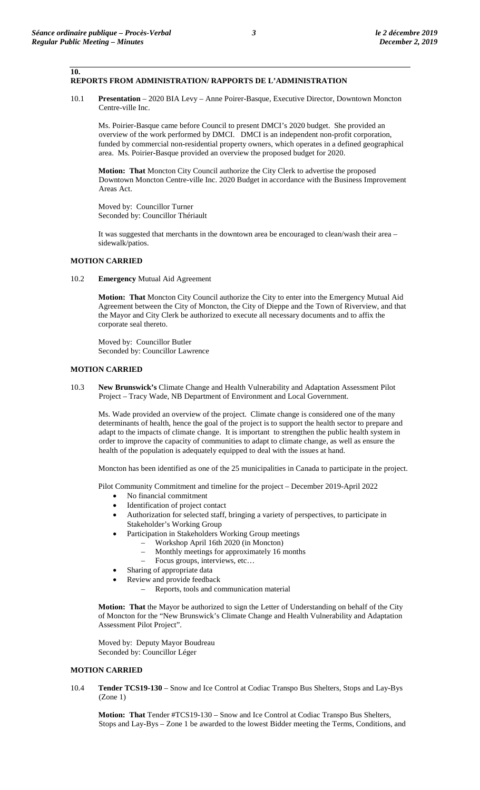**10.**

## **REPORTS FROM ADMINISTRATION/ RAPPORTS DE L'ADMINISTRATION**

10.1 **Presentation** – 2020 BIA Levy – Anne Poirer-Basque, Executive Director, Downtown Moncton Centre-ville Inc.

Ms. Poirier-Basque came before Council to present DMCI's 2020 budget. She provided an overview of the work performed by DMCI. DMCI is an independent non-profit corporation, funded by commercial non-residential property owners, which operates in a defined geographical area. Ms. Poirier-Basque provided an overview the proposed budget for 2020.

**Motion: That** Moncton City Council authorize the City Clerk to advertise the proposed Downtown Moncton Centre-ville Inc. 2020 Budget in accordance with the Business Improvement Areas Act.

Moved by: Councillor Turner Seconded by: Councillor Thériault

It was suggested that merchants in the downtown area be encouraged to clean/wash their area – sidewalk/patios.

## **MOTION CARRIED**

10.2 **Emergency** Mutual Aid Agreement

**Motion: That** Moncton City Council authorize the City to enter into the Emergency Mutual Aid Agreement between the City of Moncton, the City of Dieppe and the Town of Riverview, and that the Mayor and City Clerk be authorized to execute all necessary documents and to affix the corporate seal thereto.

Moved by: Councillor Butler Seconded by: Councillor Lawrence

# **MOTION CARRIED**

10.3 **New Brunswick's** Climate Change and Health Vulnerability and Adaptation Assessment Pilot Project – Tracy Wade, NB Department of Environment and Local Government.

Ms. Wade provided an overview of the project. Climate change is considered one of the many determinants of health, hence the goal of the project is to support the health sector to prepare and adapt to the impacts of climate change. It is important to strengthen the public health system in order to improve the capacity of communities to adapt to climate change, as well as ensure the health of the population is adequately equipped to deal with the issues at hand.

Moncton has been identified as one of the 25 municipalities in Canada to participate in the project.

Pilot Community Commitment and timeline for the project – December 2019-April 2022

- No financial commitment
- Identification of project contact
- Authorization for selected staff, bringing a variety of perspectives, to participate in Stakeholder's Working Group
	- Participation in Stakeholders Working Group meetings
		- Workshop April 16th 2020 (in Moncton)
			- Monthly meetings for approximately 16 months
		- Focus groups, interviews, etc…
- Sharing of appropriate data
- Review and provide feedback
	- Reports, tools and communication material

**Motion: That** the Mayor be authorized to sign the Letter of Understanding on behalf of the City of Moncton for the "New Brunswick's Climate Change and Health Vulnerability and Adaptation Assessment Pilot Project".

Moved by: Deputy Mayor Boudreau Seconded by: Councillor Léger

## **MOTION CARRIED**

10.4 **Tender TCS19-130** – Snow and Ice Control at Codiac Transpo Bus Shelters, Stops and Lay-Bys (Zone 1)

**Motion: That** Tender #TCS19-130 – Snow and Ice Control at Codiac Transpo Bus Shelters, Stops and Lay-Bys – Zone 1 be awarded to the lowest Bidder meeting the Terms, Conditions, and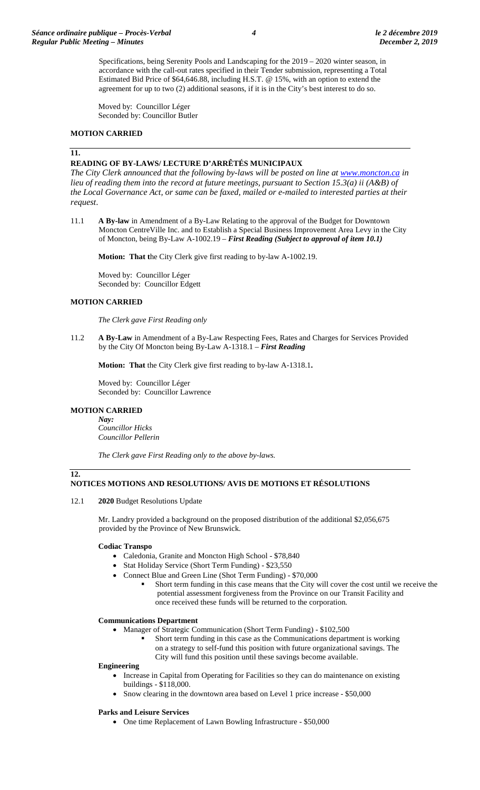Specifications, being Serenity Pools and Landscaping for the 2019 – 2020 winter season, in accordance with the call-out rates specified in their Tender submission, representing a Total Estimated Bid Price of \$64,646.88, including H.S.T. @ 15%, with an option to extend the agreement for up to two (2) additional seasons, if it is in the City's best interest to do so.

Moved by: Councillor Léger Seconded by: Councillor Butler

## **MOTION CARRIED**

#### **11.**

## **READING OF BY-LAWS/ LECTURE D'ARRÊTÉS MUNICIPAUX**

*The City Clerk announced that the following by-laws will be posted on line at www.moncton.ca <i>in lieu of reading them into the record at future meetings, pursuant to Section 15.3(a) ii (A&B) of the Local Governance Act, or same can be faxed, mailed or e-mailed to interested parties at their request*.

11.1 **A By-law** in Amendment of a By-Law Relating to the approval of the Budget for Downtown Moncton CentreVille Inc. and to Establish a Special Business Improvement Area Levy in the City of Moncton, being By-Law A-1002.19 – *First Reading (Subject to approval of item 10.1)*

**Motion: That t**he City Clerk give first reading to by-law A-1002.19.

Moved by: Councillor Léger Seconded by: Councillor Edgett

## **MOTION CARRIED**

*The Clerk gave First Reading only*

11.2 **A By-Law** in Amendment of a By-Law Respecting Fees, Rates and Charges for Services Provided by the City Of Moncton being By-Law A-1318.1 – *First Reading*

**Motion: That** the City Clerk give first reading to by-law A-1318.1**.**

Moved by: Councillor Léger Seconded by: Councillor Lawrence

## **MOTION CARRIED**

**12.**

*Nay: Councillor Hicks Councillor Pellerin*

*The Clerk gave First Reading only to the above by-laws.*

# **NOTICES MOTIONS AND RESOLUTIONS/ AVIS DE MOTIONS ET RÉSOLUTIONS**

#### 12.1 **2020** Budget Resolutions Update

Mr. Landry provided a background on the proposed distribution of the additional \$2,056,675 provided by the Province of New Brunswick.

#### **Codiac Transpo**

- Caledonia, Granite and Moncton High School \$78,840
- Stat Holiday Service (Short Term Funding) \$23,550
- Connect Blue and Green Line (Shot Term Funding) \$70,000
	- Short term funding in this case means that the City will cover the cost until we receive the potential assessment forgiveness from the Province on our Transit Facility and once received these funds will be returned to the corporation.

#### **Communications Department**

- Manager of Strategic Communication (Short Term Funding) \$102,500
	- Short term funding in this case as the Communications department is working on a strategy to self-fund this position with future organizational savings. The
	- City will fund this position until these savings become available.

## **Engineering**

- Increase in Capital from Operating for Facilities so they can do maintenance on existing buildings - \$118,000.
- Snow clearing in the downtown area based on Level 1 price increase \$50,000

#### **Parks and Leisure Services**

• One time Replacement of Lawn Bowling Infrastructure - \$50,000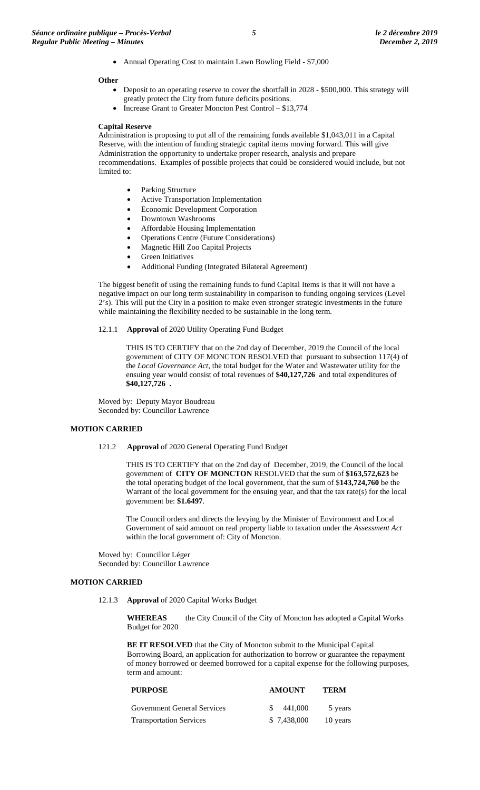• Annual Operating Cost to maintain Lawn Bowling Field - \$7,000

#### **Other**

- Deposit to an operating reserve to cover the shortfall in 2028 \$500,000. This strategy will greatly protect the City from future deficits positions.
- Increase Grant to Greater Moncton Pest Control \$13,774

#### **Capital Reserve**

Administration is proposing to put all of the remaining funds available \$1,043,011 in a Capital Reserve, with the intention of funding strategic capital items moving forward. This will give Administration the opportunity to undertake proper research, analysis and prepare recommendations. Examples of possible projects that could be considered would include, but not limited to:

- Parking Structure
- Active Transportation Implementation
- Economic Development Corporation
- Downtown Washrooms
- Affordable Housing Implementation
- Operations Centre (Future Considerations)
- Magnetic Hill Zoo Capital Projects
- Green Initiatives
- Additional Funding (Integrated Bilateral Agreement)

The biggest benefit of using the remaining funds to fund Capital Items is that it will not have a negative impact on our long term sustainability in comparison to funding ongoing services (Level 2's). This will put the City in a position to make even stronger strategic investments in the future while maintaining the flexibility needed to be sustainable in the long term.

12.1.1 **Approval** of 2020 Utility Operating Fund Budget

THIS IS TO CERTIFY that on the 2nd day of December, 2019 the Council of the local government of CITY OF MONCTON RESOLVED that pursuant to subsection 117(4) of the *Local Governance Act*, the total budget for the Water and Wastewater utility for the ensuing year would consist of total revenues of **\$40,127,726** and total expenditures of **\$40,127,726 .**

Moved by: Deputy Mayor Boudreau Seconded by: Councillor Lawrence

#### **MOTION CARRIED**

121.2 **Approval** of 2020 General Operating Fund Budget

THIS IS TO CERTIFY that on the 2nd day of December, 2019, the Council of the local government of **CITY OF MONCTON** RESOLVED that the sum of **\$163,572,623** be the total operating budget of the local government, that the sum of \$**143,724,760** be the Warrant of the local government for the ensuing year, and that the tax rate(s) for the local government be: **\$1.6497**.

The Council orders and directs the levying by the Minister of Environment and Local Government of said amount on real property liable to taxation under the *Assessment Act* within the local government of: City of Moncton.

Moved by: Councillor Léger Seconded by: Councillor Lawrence

#### **MOTION CARRIED**

12.1.3 **Approval** of 2020 Capital Works Budget

**WHEREAS** the City Council of the City of Moncton has adopted a Capital Works Budget for 2020

**BE IT RESOLVED** that the City of Moncton submit to the Municipal Capital Borrowing Board, an application for authorization to borrow or guarantee the repayment of money borrowed or deemed borrowed for a capital expense for the following purposes, term and amount:

| <b>PURPOSE</b>                     | <b>AMOUNT</b> | <b>TERM</b> |
|------------------------------------|---------------|-------------|
| <b>Government General Services</b> | 441.000       | 5 years     |
| <b>Transportation Services</b>     | \$7,438,000   | 10 years    |